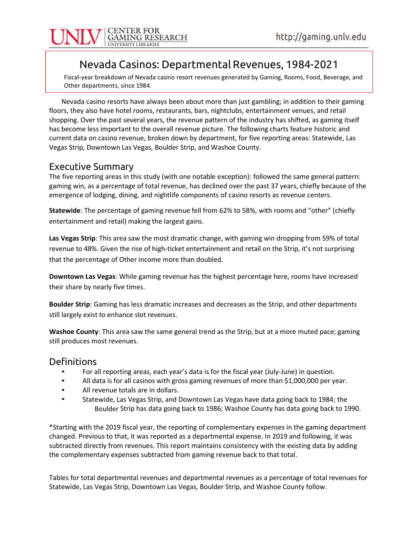

### Nevada Casinos: Departmental Revenues, 1984-2021

Fiscal-year breakdown of Nevada casino resort revenues generated by Gaming, Rooms, Food, Beverage, and Other departments, since 1984.

Nevada casino resorts have always been about more than just gambling; in addition to their gaming floors, they also have hotel rooms, restaurants, bars, nightclubs, entertainment venues, and retail shopping. Over the past several years, the revenue pattern of the industry has shifted, as gaming itself has become less important to the overall revenue picture. The following charts feature historic and current data on casino revenue, broken down by department, for five reporting areas: Statewide, Las Vegas Strip, Downtown Las Vegas, Boulder Strip, and Washoe County.

### Executive Summary

The five reporting areas in this study (with one notable exception): followed the same general pattern: gaming win, as a percentage of total revenue, has declined over the past 37 years, chiefly because of the emergence of lodging, dining, and nightlife components of casino resorts as revenue centers.

Statewide: The percentage of gaming revenue fell from 62% to 58%, with rooms and "other" (chiefly entertainment and retail) making the largest gains.

Las Vegas Strip: This area saw the most dramatic change, with gaming win dropping from 59% of total revenue to 48%. Given the rise of high-ticket entertainment and retail on the Strip, it's not surprising that the percentage of Other income more than doubled.

Downtown Las Vegas: While gaming revenue has the highest percentage here, rooms have increased their share by nearly five times.

Boulder Strip: Gaming has less dramatic increases and decreases as the Strip, and other departments still largely exist to enhance slot revenues.

Washoe County: This area saw the same general trend as the Strip, but at a more muted pace; gaming still produces most revenues.

- 
- **Definitions**<br>• For all reporting areas, each year's data is for the fiscal year (July-June) in question.<br>• All data is for all casinos with gross gaming revenues of more than \$1,000,000 per year.<br>• All revenue totals are
	-
	- Boulder Strip has data going back to 1986; Washoe County has data going back to 1990.

\*Starting with the 2019 fiscal year, the reporting of complementary expenses in the gaming department changed. Previous to that, it was reported as a departmental expense. In 2019 and following, it was subtracted directly from revenues. This report maintains consistency with the existing data by adding the complementary expenses subtracted from gaming revenue back to that total.

Tables for total departmental revenues and departmental revenues as a percentage of total revenues for Statewide, Las Vegas Strip, Downtown Las Vegas, Boulder Strip, and Washoe County follow.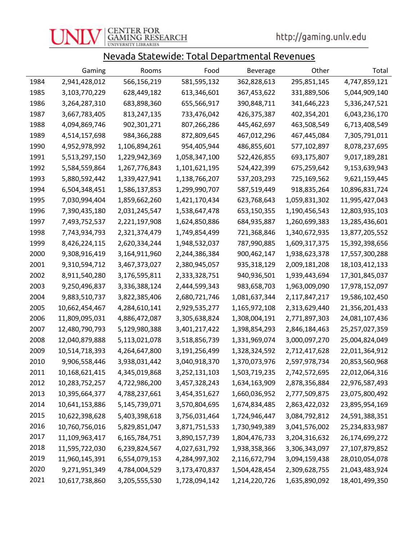

### Nevada Statewide: Total Departmental Revenues

|      | Gaming         | Rooms         | Food          | <b>Beverage</b> | Other         | Total          |
|------|----------------|---------------|---------------|-----------------|---------------|----------------|
| 1984 | 2,941,428,012  | 566,156,219   | 581,595,132   | 362,828,613     | 295,851,145   | 4,747,859,121  |
| 1985 | 3,103,770,229  | 628,449,182   | 613,346,601   | 367,453,622     | 331,889,506   | 5,044,909,140  |
| 1986 | 3,264,287,310  | 683,898,360   | 655,566,917   | 390,848,711     | 341,646,223   | 5,336,247,521  |
| 1987 | 3,667,783,405  | 813,247,135   | 733,476,042   | 426,375,387     | 402,354,201   | 6,043,236,170  |
| 1988 | 4,094,869,746  | 902,301,271   | 807,266,286   | 445,462,697     | 463,508,549   | 6,713,408,549  |
| 1989 | 4,514,157,698  | 984,366,288   | 872,809,645   | 467,012,296     | 467,445,084   | 7,305,791,011  |
| 1990 | 4,952,978,992  | 1,106,894,261 | 954,405,944   | 486,855,601     | 577,102,897   | 8,078,237,695  |
| 1991 | 5,513,297,150  | 1,229,942,369 | 1,058,347,100 | 522,426,855     | 693,175,807   | 9,017,189,281  |
| 1992 | 5,584,559,864  | 1,267,776,843 | 1,101,621,195 | 524,422,399     | 675,259,642   | 9,153,639,943  |
| 1993 | 5,880,592,442  | 1,339,427,941 | 1,138,766,207 | 537,203,293     | 725,169,562   | 9,621,159,445  |
| 1994 | 6,504,348,451  | 1,586,137,853 | 1,299,990,707 | 587,519,449     | 918,835,264   | 10,896,831,724 |
| 1995 | 7,030,994,404  | 1,859,662,260 | 1,421,170,434 | 623,768,643     | 1,059,831,302 | 11,995,427,043 |
| 1996 | 7,390,435,180  | 2,031,245,547 | 1,538,647,478 | 653,150,355     | 1,190,456,543 | 12,803,935,103 |
| 1997 | 7,493,752,537  | 2,221,197,908 | 1,624,850,886 | 684,935,887     | 1,260,699,383 | 13,285,436,601 |
| 1998 | 7,743,934,793  | 2,321,374,479 | 1,749,854,499 | 721,368,846     | 1,340,672,935 | 13,877,205,552 |
| 1999 | 8,426,224,115  | 2,620,334,244 | 1,948,532,037 | 787,990,885     | 1,609,317,375 | 15,392,398,656 |
| 2000 | 9,308,916,419  | 3,164,911,960 | 2,244,386,384 | 900,462,147     | 1,938,623,378 | 17,557,300,288 |
| 2001 | 9,310,594,712  | 3,467,373,027 | 2,380,945,057 | 935,318,129     | 2,009,181,208 | 18,103,412,133 |
| 2002 | 8,911,540,280  | 3,176,595,811 | 2,333,328,751 | 940,936,501     | 1,939,443,694 | 17,301,845,037 |
| 2003 | 9,250,496,837  | 3,336,388,124 | 2,444,599,343 | 983,658,703     | 1,963,009,090 | 17,978,152,097 |
| 2004 | 9,883,510,737  | 3,822,385,406 | 2,680,721,746 | 1,081,637,344   | 2,117,847,217 | 19,586,102,450 |
| 2005 | 10,662,454,467 | 4,284,610,141 | 2,929,535,277 | 1,165,972,108   | 2,313,629,440 | 21,356,201,433 |
| 2006 | 11,809,095,031 | 4,886,472,087 | 3,305,638,824 | 1,308,004,191   | 2,771,897,303 | 24,081,107,436 |
| 2007 | 12,480,790,793 | 5,129,980,388 | 3,401,217,422 | 1,398,854,293   | 2,846,184,463 | 25,257,027,359 |
| 2008 | 12,040,879,888 | 5,113,021,078 | 3,518,856,739 | 1,331,969,074   | 3,000,097,270 | 25,004,824,049 |
| 2009 | 10,514,718,393 | 4,264,647,800 | 3,191,256,499 | 1,328,324,592   | 2,712,417,628 | 22,011,364,912 |
| 2010 | 9,906,558,446  | 3,938,031,442 | 3,040,918,370 | 1,370,073,976   | 2,597,978,734 | 20,853,560,968 |
| 2011 | 10,168,621,415 | 4,345,019,868 | 3,252,131,103 | 1,503,719,235   | 2,742,572,695 | 22,012,064,316 |
| 2012 | 10,283,752,257 | 4,722,986,200 | 3,457,328,243 | 1,634,163,909   | 2,878,356,884 | 22,976,587,493 |
| 2013 | 10,395,664,377 | 4,788,237,661 | 3,454,351,627 | 1,660,036,952   | 2,777,509,875 | 23,075,800,492 |
| 2014 | 10,641,153,886 | 5,145,739,071 | 3,570,804,695 | 1,674,834,485   | 2,863,422,032 | 23,895,954,169 |
| 2015 | 10,622,398,628 | 5,403,398,618 | 3,756,031,464 | 1,724,946,447   | 3,084,792,812 | 24,591,388,351 |
| 2016 | 10,760,756,016 | 5,829,851,047 | 3,871,751,533 | 1,730,949,389   | 3,041,576,002 | 25,234,833,987 |
| 2017 | 11,109,963,417 | 6,165,784,751 | 3,890,157,739 | 1,804,476,733   | 3,204,316,632 | 26,174,699,272 |
| 2018 | 11,595,722,030 | 6,239,824,567 | 4,027,631,792 | 1,938,358,366   | 3,306,343,097 | 27,107,879,852 |
| 2019 | 11,960,145,391 | 6,554,079,153 | 4,284,997,302 | 2,116,672,794   | 3,094,159,438 | 28,010,054,078 |
| 2020 | 9,271,951,349  | 4,784,004,529 | 3,173,470,837 | 1,504,428,454   | 2,309,628,755 | 21,043,483,924 |
| 2021 | 10,617,738,860 | 3,205,555,530 | 1,728,094,142 | 1,214,220,726   | 1,635,890,092 | 18,401,499,350 |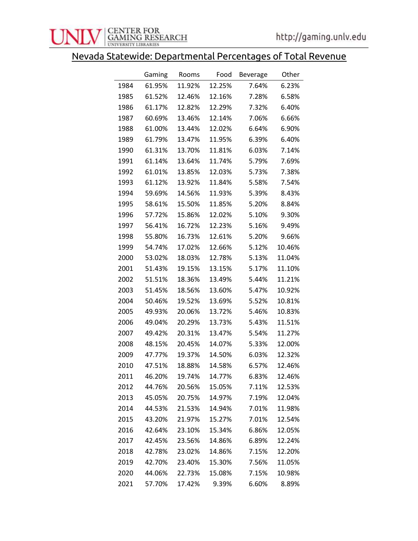## Nevada Statewide: Departmental Percentages of Total Revenue

|      | Gaming | Rooms  | Food   | <b>Beverage</b> | Other  |
|------|--------|--------|--------|-----------------|--------|
| 1984 | 61.95% | 11.92% | 12.25% | 7.64%           | 6.23%  |
| 1985 | 61.52% | 12.46% | 12.16% | 7.28%           | 6.58%  |
| 1986 | 61.17% | 12.82% | 12.29% | 7.32%           | 6.40%  |
| 1987 | 60.69% | 13.46% | 12.14% | 7.06%           | 6.66%  |
| 1988 | 61.00% | 13.44% | 12.02% | 6.64%           | 6.90%  |
| 1989 | 61.79% | 13.47% | 11.95% | 6.39%           | 6.40%  |
| 1990 | 61.31% | 13.70% | 11.81% | 6.03%           | 7.14%  |
| 1991 | 61.14% | 13.64% | 11.74% | 5.79%           | 7.69%  |
| 1992 | 61.01% | 13.85% | 12.03% | 5.73%           | 7.38%  |
| 1993 | 61.12% | 13.92% | 11.84% | 5.58%           | 7.54%  |
| 1994 | 59.69% | 14.56% | 11.93% | 5.39%           | 8.43%  |
| 1995 | 58.61% | 15.50% | 11.85% | 5.20%           | 8.84%  |
| 1996 | 57.72% | 15.86% | 12.02% | 5.10%           | 9.30%  |
| 1997 | 56.41% | 16.72% | 12.23% | 5.16%           | 9.49%  |
| 1998 | 55.80% | 16.73% | 12.61% | 5.20%           | 9.66%  |
| 1999 | 54.74% | 17.02% | 12.66% | 5.12%           | 10.46% |
| 2000 | 53.02% | 18.03% | 12.78% | 5.13%           | 11.04% |
| 2001 | 51.43% | 19.15% | 13.15% | 5.17%           | 11.10% |
| 2002 | 51.51% | 18.36% | 13.49% | 5.44%           | 11.21% |
| 2003 | 51.45% | 18.56% | 13.60% | 5.47%           | 10.92% |
| 2004 | 50.46% | 19.52% | 13.69% | 5.52%           | 10.81% |
| 2005 | 49.93% | 20.06% | 13.72% | 5.46%           | 10.83% |
| 2006 | 49.04% | 20.29% | 13.73% | 5.43%           | 11.51% |
| 2007 | 49.42% | 20.31% | 13.47% | 5.54%           | 11.27% |
| 2008 | 48.15% | 20.45% | 14.07% | 5.33%           | 12.00% |
| 2009 | 47.77% | 19.37% | 14.50% | 6.03%           | 12.32% |
| 2010 | 47.51% | 18.88% | 14.58% | 6.57%           | 12.46% |
| 2011 | 46.20% | 19.74% | 14.77% | 6.83%           | 12.46% |
| 2012 | 44.76% | 20.56% | 15.05% | 7.11%           | 12.53% |
| 2013 | 45.05% | 20.75% | 14.97% | 7.19%           | 12.04% |
| 2014 | 44.53% | 21.53% | 14.94% | 7.01%           | 11.98% |
| 2015 | 43.20% | 21.97% | 15.27% | 7.01%           | 12.54% |
| 2016 | 42.64% | 23.10% | 15.34% | 6.86%           | 12.05% |
| 2017 | 42.45% | 23.56% | 14.86% | 6.89%           | 12.24% |
| 2018 | 42.78% | 23.02% | 14.86% | 7.15%           | 12.20% |
| 2019 | 42.70% | 23.40% | 15.30% | 7.56%           | 11.05% |
| 2020 | 44.06% | 22.73% | 15.08% | 7.15%           | 10.98% |
| 2021 | 57.70% | 17.42% | 9.39%  | 6.60%           | 8.89%  |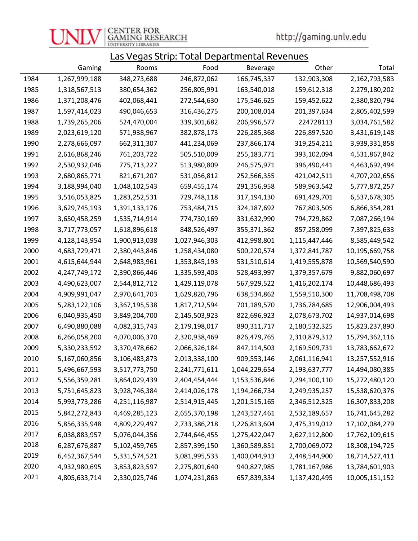

http://gaming.unlv.edu

### Las Vegas Strip: Total Departmental Revenues

|      | Gaming        | Rooms         | Food          | <b>Beverage</b> | Other         | Total          |
|------|---------------|---------------|---------------|-----------------|---------------|----------------|
| 1984 | 1,267,999,188 | 348,273,688   | 246,872,062   | 166,745,337     | 132,903,308   | 2,162,793,583  |
| 1985 | 1,318,567,513 | 380,654,362   | 256,805,991   | 163,540,018     | 159,612,318   | 2,279,180,202  |
| 1986 | 1,371,208,476 | 402,068,441   | 272,544,630   | 175,546,625     | 159,452,622   | 2,380,820,794  |
| 1987 | 1,597,414,023 | 490,046,653   | 316,436,275   | 200,108,014     | 201,397,634   | 2,805,402,599  |
| 1988 | 1,739,265,206 | 524,470,004   | 339,301,682   | 206,996,577     | 224728113     | 3,034,761,582  |
| 1989 | 2,023,619,120 | 571,938,967   | 382,878,173   | 226,285,368     | 226,897,520   | 3,431,619,148  |
| 1990 | 2,278,666,097 | 662,311,307   | 441,234,069   | 237,866,174     | 319,254,211   | 3,939,331,858  |
| 1991 | 2,616,868,246 | 761,203,722   | 505,510,009   | 255,183,771     | 393,102,094   | 4,531,867,842  |
| 1992 | 2,530,932,046 | 775,713,227   | 513,980,809   | 246,575,971     | 396,490,441   | 4,463,692,494  |
| 1993 | 2,680,865,771 | 821,671,207   | 531,056,812   | 252,566,355     | 421,042,511   | 4,707,202,656  |
| 1994 | 3,188,994,040 | 1,048,102,543 | 659,455,174   | 291,356,958     | 589,963,542   | 5,777,872,257  |
| 1995 | 3,516,053,825 | 1,283,252,531 | 729,748,118   | 317,194,130     | 691,429,701   | 6,537,678,305  |
| 1996 | 3,629,745,193 | 1,391,133,176 | 753,484,715   | 324,187,692     | 767,803,505   | 6,866,354,281  |
| 1997 | 3,650,458,259 | 1,535,714,914 | 774,730,169   | 331,632,990     | 794,729,862   | 7,087,266,194  |
| 1998 | 3,717,773,057 | 1,618,896,618 | 848,526,497   | 355, 371, 362   | 857,258,099   | 7,397,825,633  |
| 1999 | 4,128,143,954 | 1,900,913,038 | 1,027,946,303 | 412,998,801     | 1,115,447,446 | 8,585,449,542  |
| 2000 | 4,683,729,471 | 2,380,443,846 | 1,258,434,080 | 500,220,574     | 1,372,841,787 | 10,195,669,758 |
| 2001 | 4,615,644,944 | 2,648,983,961 | 1,353,845,193 | 531,510,614     | 1,419,555,878 | 10,569,540,590 |
| 2002 | 4,247,749,172 | 2,390,866,446 | 1,335,593,403 | 528,493,997     | 1,379,357,679 | 9,882,060,697  |
| 2003 | 4,490,623,007 | 2,544,812,712 | 1,429,119,078 | 567,929,522     | 1,416,202,174 | 10,448,686,493 |
| 2004 | 4,909,991,047 | 2,970,641,703 | 1,629,820,796 | 638,534,862     | 1,559,510,300 | 11,708,498,708 |
| 2005 | 5,283,122,106 | 3,367,195,538 | 1,817,712,594 | 701,189,570     | 1,736,784,685 | 12,906,004,493 |
| 2006 | 6,040,935,450 | 3,849,204,700 | 2,145,503,923 | 822,696,923     | 2,078,673,702 | 14,937,014,698 |
| 2007 | 6,490,880,088 | 4,082,315,743 | 2,179,198,017 | 890, 311, 717   | 2,180,532,325 | 15,823,237,890 |
| 2008 | 6,266,058,200 | 4,070,006,370 | 2,320,938,469 | 826,479,765     | 2,310,879,312 | 15,794,362,116 |
| 2009 | 5,330,233,592 | 3,370,478,662 | 2,066,326,184 | 847,114,503     | 2,169,509,731 | 13,783,662,672 |
| 2010 | 5,167,060,856 | 3,106,483,873 | 2,013,338,100 | 909,553,146     | 2,061,116,941 | 13,257,552,916 |
| 2011 | 5,496,667,593 | 3,517,773,750 | 2,241,771,611 | 1,044,229,654   | 2,193,637,777 | 14,494,080,385 |
| 2012 | 5,556,359,281 | 3,864,029,439 | 2,404,454,444 | 1,153,536,846   | 2,294,100,110 | 15,272,480,120 |
| 2013 | 5,751,645,823 | 3,928,746,384 | 2,414,026,178 | 1,194,266,734   | 2,249,935,257 | 15,538,620,376 |
| 2014 | 5,993,773,286 | 4,251,116,987 | 2,514,915,445 | 1,201,515,165   | 2,346,512,325 | 16,307,833,208 |
| 2015 | 5,842,272,843 | 4,469,285,123 | 2,655,370,198 | 1,243,527,461   | 2,532,189,657 | 16,741,645,282 |
| 2016 | 5,856,335,948 | 4,809,229,497 | 2,733,386,218 | 1,226,813,604   | 2,475,319,012 | 17,102,084,279 |
| 2017 | 6,038,883,957 | 5,076,044,356 | 2,744,646,455 | 1,275,422,047   | 2,627,112,800 | 17,762,109,615 |
| 2018 | 6,287,676,887 | 5,102,459,765 | 2,857,399,150 | 1,360,589,851   | 2,700,069,072 | 18,308,194,725 |
| 2019 | 6,452,367,544 | 5,331,574,521 | 3,081,995,533 | 1,400,044,913   | 2,448,544,900 | 18,714,527,411 |
| 2020 | 4,932,980,695 | 3,853,823,597 | 2,275,801,640 | 940,827,985     | 1,781,167,986 | 13,784,601,903 |
| 2021 | 4,805,633,714 | 2,330,025,746 | 1,074,231,863 | 657,839,334     | 1,137,420,495 | 10,005,151,152 |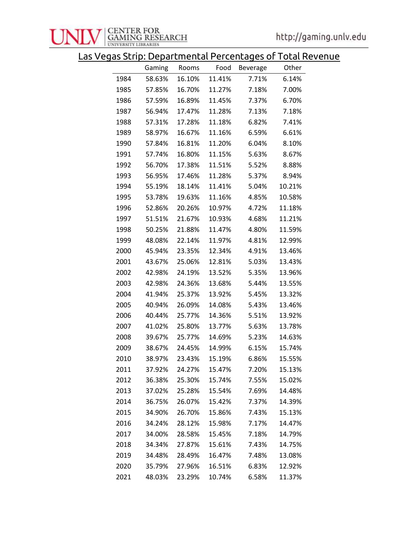

Las Vegas Strip: Departmental Percentages of Total Revenue

|      | Gaming | Rooms  | Food   | <b>Beverage</b> | Other  |
|------|--------|--------|--------|-----------------|--------|
| 1984 | 58.63% | 16.10% | 11.41% | 7.71%           | 6.14%  |
| 1985 | 57.85% | 16.70% | 11.27% | 7.18%           | 7.00%  |
| 1986 | 57.59% | 16.89% | 11.45% | 7.37%           | 6.70%  |
| 1987 | 56.94% | 17.47% | 11.28% | 7.13%           | 7.18%  |
| 1988 | 57.31% | 17.28% | 11.18% | 6.82%           | 7.41%  |
| 1989 | 58.97% | 16.67% | 11.16% | 6.59%           | 6.61%  |
| 1990 | 57.84% | 16.81% | 11.20% | 6.04%           | 8.10%  |
| 1991 | 57.74% | 16.80% | 11.15% | 5.63%           | 8.67%  |
| 1992 | 56.70% | 17.38% | 11.51% | 5.52%           | 8.88%  |
| 1993 | 56.95% | 17.46% | 11.28% | 5.37%           | 8.94%  |
| 1994 | 55.19% | 18.14% | 11.41% | 5.04%           | 10.21% |
| 1995 | 53.78% | 19.63% | 11.16% | 4.85%           | 10.58% |
| 1996 | 52.86% | 20.26% | 10.97% | 4.72%           | 11.18% |
| 1997 | 51.51% | 21.67% | 10.93% | 4.68%           | 11.21% |
| 1998 | 50.25% | 21.88% | 11.47% | 4.80%           | 11.59% |
| 1999 | 48.08% | 22.14% | 11.97% | 4.81%           | 12.99% |
| 2000 | 45.94% | 23.35% | 12.34% | 4.91%           | 13.46% |
| 2001 | 43.67% | 25.06% | 12.81% | 5.03%           | 13.43% |
| 2002 | 42.98% | 24.19% | 13.52% | 5.35%           | 13.96% |
| 2003 | 42.98% | 24.36% | 13.68% | 5.44%           | 13.55% |
| 2004 | 41.94% | 25.37% | 13.92% | 5.45%           | 13.32% |
| 2005 | 40.94% | 26.09% | 14.08% | 5.43%           | 13.46% |
| 2006 | 40.44% | 25.77% | 14.36% | 5.51%           | 13.92% |
| 2007 | 41.02% | 25.80% | 13.77% | 5.63%           | 13.78% |
| 2008 | 39.67% | 25.77% | 14.69% | 5.23%           | 14.63% |
| 2009 | 38.67% | 24.45% | 14.99% | 6.15%           | 15.74% |
| 2010 | 38.97% | 23.43% | 15.19% | 6.86%           | 15.55% |
| 2011 | 37.92% | 24.27% | 15.47% | 7.20%           | 15.13% |
| 2012 | 36.38% | 25.30% | 15.74% | 7.55%           | 15.02% |
| 2013 | 37.02% | 25.28% | 15.54% | 7.69%           | 14.48% |
| 2014 | 36.75% | 26.07% | 15.42% | 7.37%           | 14.39% |
| 2015 | 34.90% | 26.70% | 15.86% | 7.43%           | 15.13% |
| 2016 | 34.24% | 28.12% | 15.98% | 7.17%           | 14.47% |
| 2017 | 34.00% | 28.58% | 15.45% | 7.18%           | 14.79% |
| 2018 | 34.34% | 27.87% | 15.61% | 7.43%           | 14.75% |
| 2019 | 34.48% | 28.49% | 16.47% | 7.48%           | 13.08% |
| 2020 | 35.79% | 27.96% | 16.51% | 6.83%           | 12.92% |
| 2021 | 48.03% | 23.29% | 10.74% | 6.58%           | 11.37% |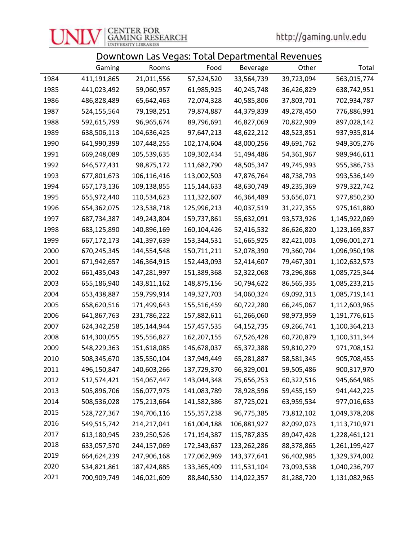# **CENTER FOR<br>GAMING RESEARCH**<br>UNIVERSITY LIBRARIES

http://gaming.unlv.edu

|      | <u> Downtown Las Vegas: Total Departmental Revenues</u> |             |             |                 |            |               |  |  |
|------|---------------------------------------------------------|-------------|-------------|-----------------|------------|---------------|--|--|
|      | Gaming                                                  | Rooms       | Food        | <b>Beverage</b> | Other      | Total         |  |  |
| 1984 | 411,191,865                                             | 21,011,556  | 57,524,520  | 33,564,739      | 39,723,094 | 563,015,774   |  |  |
| 1985 | 441,023,492                                             | 59,060,957  | 61,985,925  | 40,245,748      | 36,426,829 | 638,742,951   |  |  |
| 1986 | 486,828,489                                             | 65,642,463  | 72,074,328  | 40,585,806      | 37,803,701 | 702,934,787   |  |  |
| 1987 | 524,155,564                                             | 79,198,251  | 79,874,887  | 44,379,839      | 49,278,450 | 776,886,991   |  |  |
| 1988 | 592,615,799                                             | 96,965,674  | 89,796,691  | 46,827,069      | 70,822,909 | 897,028,142   |  |  |
| 1989 | 638,506,113                                             | 104,636,425 | 97,647,213  | 48,622,212      | 48,523,851 | 937,935,814   |  |  |
| 1990 | 641,990,399                                             | 107,448,255 | 102,174,604 | 48,000,256      | 49,691,762 | 949,305,276   |  |  |
| 1991 | 669,248,089                                             | 105,539,635 | 109,302,434 | 51,494,486      | 54,361,967 | 989,946,611   |  |  |
| 1992 | 646,577,431                                             | 98,875,172  | 111,682,790 | 48,505,347      | 49,745,993 | 955,386,733   |  |  |
| 1993 | 677,801,673                                             | 106,116,416 | 113,002,503 | 47,876,764      | 48,738,793 | 993,536,149   |  |  |
| 1994 | 657,173,136                                             | 109,138,855 | 115,144,633 | 48,630,749      | 49,235,369 | 979,322,742   |  |  |
| 1995 | 655,972,440                                             | 110,534,623 | 111,322,607 | 46,364,489      | 53,656,071 | 977,850,230   |  |  |
| 1996 | 654,362,075                                             | 123,538,718 | 125,996,213 | 40,037,519      | 31,227,355 | 975,161,880   |  |  |
| 1997 | 687,734,387                                             | 149,243,804 | 159,737,861 | 55,632,091      | 93,573,926 | 1,145,922,069 |  |  |
| 1998 | 683,125,890                                             | 140,896,169 | 160,104,426 | 52,416,532      | 86,626,820 | 1,123,169,837 |  |  |
| 1999 | 667,172,173                                             | 141,397,639 | 153,344,531 | 51,665,925      | 82,421,003 | 1,096,001,271 |  |  |
| 2000 | 670,245,345                                             | 144,554,548 | 150,711,211 | 52,078,390      | 79,360,704 | 1,096,950,198 |  |  |
| 2001 | 671,942,657                                             | 146,364,915 | 152,443,093 | 52,414,607      | 79,467,301 | 1,102,632,573 |  |  |
| 2002 | 661,435,043                                             | 147,281,997 | 151,389,368 | 52,322,068      | 73,296,868 | 1,085,725,344 |  |  |
| 2003 | 655,186,940                                             | 143,811,162 | 148,875,156 | 50,794,622      | 86,565,335 | 1,085,233,215 |  |  |
| 2004 | 653,438,887                                             | 159,799,914 | 149,327,703 | 54,060,324      | 69,092,313 | 1,085,719,141 |  |  |
| 2005 | 658,620,516                                             | 171,499,643 | 155,516,459 | 60,722,280      | 66,245,067 | 1,112,603,965 |  |  |
| 2006 | 641,867,763                                             | 231,786,222 | 157,882,611 | 61,266,060      | 98,973,959 | 1,191,776,615 |  |  |
| 2007 | 624,342,258                                             | 185,144,944 | 157,457,535 | 64,152,735      | 69,266,741 | 1,100,364,213 |  |  |
| 2008 | 614,300,055                                             | 195,556,827 | 162,207,155 | 67,526,428      | 60,720,879 | 1,100,311,344 |  |  |
| 2009 | 548,229,363                                             | 151,618,085 | 146,678,037 | 65,372,388      | 59,810,279 | 971,708,152   |  |  |
| 2010 | 508,345,670                                             | 135,550,104 | 137,949,449 | 65,281,887      | 58,581,345 | 905,708,455   |  |  |
| 2011 | 496,150,847                                             | 140,603,266 | 137,729,370 | 66,329,001      | 59,505,486 | 900,317,970   |  |  |
| 2012 | 512,574,421                                             | 154,067,447 | 143,044,348 | 75,656,253      | 60,322,516 | 945,664,985   |  |  |
| 2013 | 505,896,706                                             | 156,077,975 | 141,083,789 | 78,928,596      | 59,455,159 | 941,442,225   |  |  |
| 2014 | 508,536,028                                             | 175,213,664 | 141,582,386 | 87,725,021      | 63,959,534 | 977,016,633   |  |  |
| 2015 | 528,727,367                                             | 194,706,116 | 155,357,238 | 96,775,385      | 73,812,102 | 1,049,378,208 |  |  |
| 2016 | 549,515,742                                             | 214,217,041 | 161,004,188 | 106,881,927     | 82,092,073 | 1,113,710,971 |  |  |
| 2017 | 613,180,945                                             | 239,250,526 | 171,194,387 | 115,787,835     | 89,047,428 | 1,228,461,121 |  |  |
| 2018 | 633,057,570                                             | 244,157,069 | 172,343,637 | 123,262,286     | 88,378,865 | 1,261,199,427 |  |  |
| 2019 | 664,624,239                                             | 247,906,168 | 177,062,969 | 143,377,641     | 96,402,985 | 1,329,374,002 |  |  |
| 2020 | 534,821,861                                             | 187,424,885 | 133,365,409 | 111,531,104     | 73,093,538 | 1,040,236,797 |  |  |

2021 700,909,749 146,021,609 88,840,530 114,022,357 81,288,720 1,131,082,965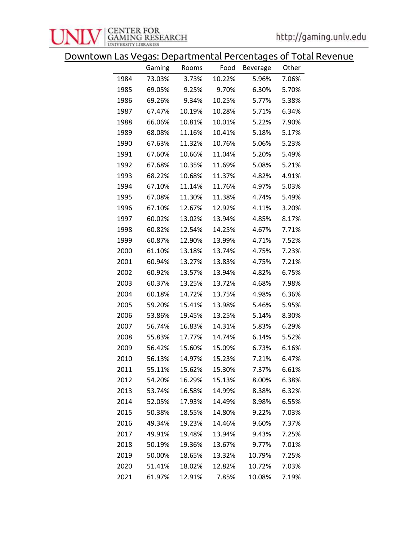

Downtown Las Vegas: Departmental Percentages of Total Revenue

|      | Gaming | Rooms  | Food   | Beverage | Other |
|------|--------|--------|--------|----------|-------|
| 1984 | 73.03% | 3.73%  | 10.22% | 5.96%    | 7.06% |
| 1985 | 69.05% | 9.25%  | 9.70%  | 6.30%    | 5.70% |
| 1986 | 69.26% | 9.34%  | 10.25% | 5.77%    | 5.38% |
| 1987 | 67.47% | 10.19% | 10.28% | 5.71%    | 6.34% |
| 1988 | 66.06% | 10.81% | 10.01% | 5.22%    | 7.90% |
| 1989 | 68.08% | 11.16% | 10.41% | 5.18%    | 5.17% |
| 1990 | 67.63% | 11.32% | 10.76% | 5.06%    | 5.23% |
| 1991 | 67.60% | 10.66% | 11.04% | 5.20%    | 5.49% |
| 1992 | 67.68% | 10.35% | 11.69% | 5.08%    | 5.21% |
| 1993 | 68.22% | 10.68% | 11.37% | 4.82%    | 4.91% |
| 1994 | 67.10% | 11.14% | 11.76% | 4.97%    | 5.03% |
| 1995 | 67.08% | 11.30% | 11.38% | 4.74%    | 5.49% |
| 1996 | 67.10% | 12.67% | 12.92% | 4.11%    | 3.20% |
| 1997 | 60.02% | 13.02% | 13.94% | 4.85%    | 8.17% |
| 1998 | 60.82% | 12.54% | 14.25% | 4.67%    | 7.71% |
| 1999 | 60.87% | 12.90% | 13.99% | 4.71%    | 7.52% |
| 2000 | 61.10% | 13.18% | 13.74% | 4.75%    | 7.23% |
| 2001 | 60.94% | 13.27% | 13.83% | 4.75%    | 7.21% |
| 2002 | 60.92% | 13.57% | 13.94% | 4.82%    | 6.75% |
| 2003 | 60.37% | 13.25% | 13.72% | 4.68%    | 7.98% |
| 2004 | 60.18% | 14.72% | 13.75% | 4.98%    | 6.36% |
| 2005 | 59.20% | 15.41% | 13.98% | 5.46%    | 5.95% |
| 2006 | 53.86% | 19.45% | 13.25% | 5.14%    | 8.30% |
| 2007 | 56.74% | 16.83% | 14.31% | 5.83%    | 6.29% |
| 2008 | 55.83% | 17.77% | 14.74% | 6.14%    | 5.52% |
| 2009 | 56.42% | 15.60% | 15.09% | 6.73%    | 6.16% |
| 2010 | 56.13% | 14.97% | 15.23% | 7.21%    | 6.47% |
| 2011 | 55.11% | 15.62% | 15.30% | 7.37%    | 6.61% |
| 2012 | 54.20% | 16.29% | 15.13% | 8.00%    | 6.38% |
| 2013 | 53.74% | 16.58% | 14.99% | 8.38%    | 6.32% |
| 2014 | 52.05% | 17.93% | 14.49% | 8.98%    | 6.55% |
| 2015 | 50.38% | 18.55% | 14.80% | 9.22%    | 7.03% |
| 2016 | 49.34% | 19.23% | 14.46% | 9.60%    | 7.37% |
| 2017 | 49.91% | 19.48% | 13.94% | 9.43%    | 7.25% |
| 2018 | 50.19% | 19.36% | 13.67% | 9.77%    | 7.01% |
| 2019 | 50.00% | 18.65% | 13.32% | 10.79%   | 7.25% |
| 2020 | 51.41% | 18.02% | 12.82% | 10.72%   | 7.03% |
| 2021 | 61.97% | 12.91% | 7.85%  | 10.08%   | 7.19% |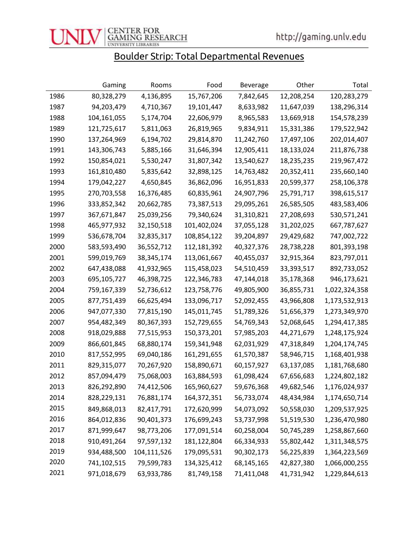

### Boulder Strip: Total Departmental Revenues

|      | Gaming      | Rooms       | Food        | <b>Beverage</b> | Other      | Total         |
|------|-------------|-------------|-------------|-----------------|------------|---------------|
| 1986 | 80,328,279  | 4,136,895   | 15,767,206  | 7,842,645       | 12,208,254 | 120,283,279   |
| 1987 | 94,203,479  | 4,710,367   | 19,101,447  | 8,633,982       | 11,647,039 | 138,296,314   |
| 1988 | 104,161,055 | 5,174,704   | 22,606,979  | 8,965,583       | 13,669,918 | 154,578,239   |
| 1989 | 121,725,617 | 5,811,063   | 26,819,965  | 9,834,911       | 15,331,386 | 179,522,942   |
| 1990 | 137,264,969 | 6,194,702   | 29,814,870  | 11,242,760      | 17,497,106 | 202,014,407   |
| 1991 | 143,306,743 | 5,885,166   | 31,646,394  | 12,905,411      | 18,133,024 | 211,876,738   |
| 1992 | 150,854,021 | 5,530,247   | 31,807,342  | 13,540,627      | 18,235,235 | 219,967,472   |
| 1993 | 161,810,480 | 5,835,642   | 32,898,125  | 14,763,482      | 20,352,411 | 235,660,140   |
| 1994 | 179,042,227 | 4,650,845   | 36,862,096  | 16,951,833      | 20,599,377 | 258,106,378   |
| 1995 | 270,703,558 | 16,376,485  | 60,835,961  | 24,907,796      | 25,791,717 | 398,615,517   |
| 1996 | 333,852,342 | 20,662,785  | 73,387,513  | 29,095,261      | 26,585,505 | 483,583,406   |
| 1997 | 367,671,847 | 25,039,256  | 79,340,624  | 31,310,821      | 27,208,693 | 530,571,241   |
| 1998 | 465,977,932 | 32,150,518  | 101,402,024 | 37,055,128      | 31,202,025 | 667,787,627   |
| 1999 | 536,678,704 | 32,835,317  | 108,854,122 | 39,204,897      | 29,429,682 | 747,002,722   |
| 2000 | 583,593,490 | 36,552,712  | 112,181,392 | 40,327,376      | 28,738,228 | 801,393,198   |
| 2001 | 599,019,769 | 38,345,174  | 113,061,667 | 40,455,037      | 32,915,364 | 823,797,011   |
| 2002 | 647,438,088 | 41,932,965  | 115,458,023 | 54,510,459      | 33,393,517 | 892,733,052   |
| 2003 | 695,105,727 | 46,398,725  | 122,346,783 | 47,144,018      | 35,178,368 | 946,173,621   |
| 2004 | 759,167,339 | 52,736,612  | 123,758,776 | 49,805,900      | 36,855,731 | 1,022,324,358 |
| 2005 | 877,751,439 | 66,625,494  | 133,096,717 | 52,092,455      | 43,966,808 | 1,173,532,913 |
| 2006 | 947,077,330 | 77,815,190  | 145,011,745 | 51,789,326      | 51,656,379 | 1,273,349,970 |
| 2007 | 954,482,349 | 80,367,393  | 152,729,655 | 54,769,343      | 52,068,645 | 1,294,417,385 |
| 2008 | 918,029,888 | 77,515,953  | 150,373,201 | 57,985,203      | 44,271,679 | 1,248,175,924 |
| 2009 | 866,601,845 | 68,880,174  | 159,341,948 | 62,031,929      | 47,318,849 | 1,204,174,745 |
| 2010 | 817,552,995 | 69,040,186  | 161,291,655 | 61,570,387      | 58,946,715 | 1,168,401,938 |
| 2011 | 829,315,077 | 70,267,920  | 158,890,671 | 60,157,927      | 63,137,085 | 1,181,768,680 |
| 2012 | 857,094,479 | 75,068,003  | 163,884,593 | 61,098,424      | 67,656,683 | 1,224,802,182 |
| 2013 | 826,292,890 | 74,412,506  | 165,960,627 | 59,676,368      | 49,682,546 | 1,176,024,937 |
| 2014 | 828,229,131 | 76,881,174  | 164,372,351 | 56,733,074      | 48,434,984 | 1,174,650,714 |
| 2015 | 849,868,013 | 82,417,791  | 172,620,999 | 54,073,092      | 50,558,030 | 1,209,537,925 |
| 2016 | 864,012,836 | 90,401,373  | 176,699,243 | 53,737,998      | 51,519,530 | 1,236,470,980 |
| 2017 | 871,999,647 | 98,773,206  | 177,091,514 | 60,258,004      | 50,745,289 | 1,258,867,660 |
| 2018 | 910,491,264 | 97,597,132  | 181,122,804 | 66,334,933      | 55,802,442 | 1,311,348,575 |
| 2019 | 934,488,500 | 104,111,526 | 179,095,531 | 90,302,173      | 56,225,839 | 1,364,223,569 |
| 2020 | 741,102,515 | 79,599,783  | 134,325,412 | 68,145,165      | 42,827,380 | 1,066,000,255 |
| 2021 | 971,018,679 | 63,933,786  | 81,749,158  | 71,411,048      | 41,731,942 | 1,229,844,613 |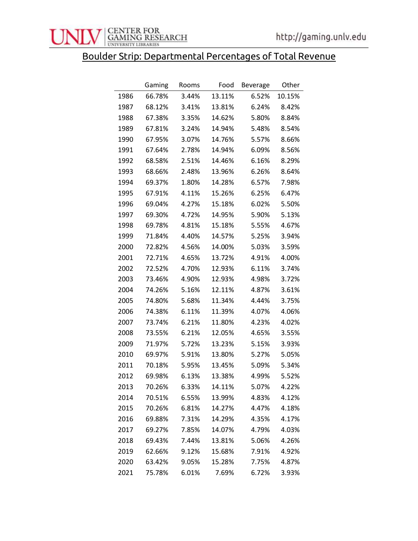

## Boulder Strip: Departmental Percentages of Total Revenue

|      | Gaming | Rooms | Food   | <b>Beverage</b> | Other  |
|------|--------|-------|--------|-----------------|--------|
| 1986 | 66.78% | 3.44% | 13.11% | 6.52%           | 10.15% |
| 1987 | 68.12% | 3.41% | 13.81% | 6.24%           | 8.42%  |
| 1988 | 67.38% | 3.35% | 14.62% | 5.80%           | 8.84%  |
| 1989 | 67.81% | 3.24% | 14.94% | 5.48%           | 8.54%  |
| 1990 | 67.95% | 3.07% | 14.76% | 5.57%           | 8.66%  |
| 1991 | 67.64% | 2.78% | 14.94% | 6.09%           | 8.56%  |
| 1992 | 68.58% | 2.51% | 14.46% | 6.16%           | 8.29%  |
| 1993 | 68.66% | 2.48% | 13.96% | 6.26%           | 8.64%  |
| 1994 | 69.37% | 1.80% | 14.28% | 6.57%           | 7.98%  |
| 1995 | 67.91% | 4.11% | 15.26% | 6.25%           | 6.47%  |
| 1996 | 69.04% | 4.27% | 15.18% | 6.02%           | 5.50%  |
| 1997 | 69.30% | 4.72% | 14.95% | 5.90%           | 5.13%  |
| 1998 | 69.78% | 4.81% | 15.18% | 5.55%           | 4.67%  |
| 1999 | 71.84% | 4.40% | 14.57% | 5.25%           | 3.94%  |
| 2000 | 72.82% | 4.56% | 14.00% | 5.03%           | 3.59%  |
| 2001 | 72.71% | 4.65% | 13.72% | 4.91%           | 4.00%  |
| 2002 | 72.52% | 4.70% | 12.93% | 6.11%           | 3.74%  |
| 2003 | 73.46% | 4.90% | 12.93% | 4.98%           | 3.72%  |
| 2004 | 74.26% | 5.16% | 12.11% | 4.87%           | 3.61%  |
| 2005 | 74.80% | 5.68% | 11.34% | 4.44%           | 3.75%  |
| 2006 | 74.38% | 6.11% | 11.39% | 4.07%           | 4.06%  |
| 2007 | 73.74% | 6.21% | 11.80% | 4.23%           | 4.02%  |
| 2008 | 73.55% | 6.21% | 12.05% | 4.65%           | 3.55%  |
| 2009 | 71.97% | 5.72% | 13.23% | 5.15%           | 3.93%  |
| 2010 | 69.97% | 5.91% | 13.80% | 5.27%           | 5.05%  |
| 2011 | 70.18% | 5.95% | 13.45% | 5.09%           | 5.34%  |
| 2012 | 69.98% | 6.13% | 13.38% | 4.99%           | 5.52%  |
| 2013 | 70.26% | 6.33% | 14.11% | 5.07%           | 4.22%  |
| 2014 | 70.51% | 6.55% | 13.99% | 4.83%           | 4.12%  |
| 2015 | 70.26% | 6.81% | 14.27% | 4.47%           | 4.18%  |
| 2016 | 69.88% | 7.31% | 14.29% | 4.35%           | 4.17%  |
| 2017 | 69.27% | 7.85% | 14.07% | 4.79%           | 4.03%  |
| 2018 | 69.43% | 7.44% | 13.81% | 5.06%           | 4.26%  |
| 2019 | 62.66% | 9.12% | 15.68% | 7.91%           | 4.92%  |
| 2020 | 63.42% | 9.05% | 15.28% | 7.75%           | 4.87%  |
| 2021 | 75.78% | 6.01% | 7.69%  | 6.72%           | 3.93%  |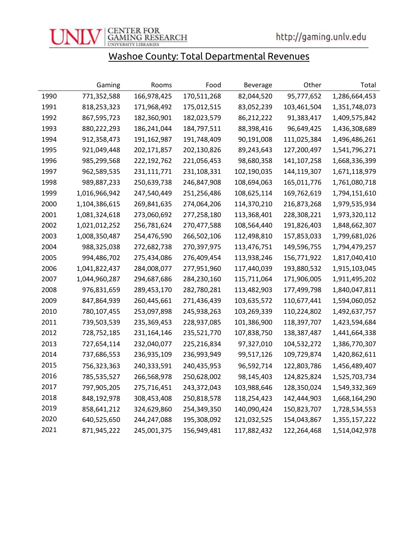

### Washoe County: Total Departmental Revenues

|      | Gaming        | Rooms       | Food        | <b>Beverage</b> | Other       | Total         |
|------|---------------|-------------|-------------|-----------------|-------------|---------------|
| 1990 | 771,352,588   | 166,978,425 | 170,511,268 | 82,044,520      | 95,777,652  | 1,286,664,453 |
| 1991 | 818,253,323   | 171,968,492 | 175,012,515 | 83,052,239      | 103,461,504 | 1,351,748,073 |
| 1992 | 867,595,723   | 182,360,901 | 182,023,579 | 86,212,222      | 91,383,417  | 1,409,575,842 |
| 1993 | 880,222,293   | 186,241,044 | 184,797,511 | 88,398,416      | 96,649,425  | 1,436,308,689 |
| 1994 | 912,358,473   | 191,162,987 | 191,748,409 | 90,191,008      | 111,025,384 | 1,496,486,261 |
| 1995 | 921,049,448   | 202,171,857 | 202,130,826 | 89,243,643      | 127,200,497 | 1,541,796,271 |
| 1996 | 985,299,568   | 222,192,762 | 221,056,453 | 98,680,358      | 141,107,258 | 1,668,336,399 |
| 1997 | 962,589,535   | 231,111,771 | 231,108,331 | 102,190,035     | 144,119,307 | 1,671,118,979 |
| 1998 | 989,887,233   | 250,639,738 | 246,847,908 | 108,694,063     | 165,011,776 | 1,761,080,718 |
| 1999 | 1,016,966,942 | 247,540,449 | 251,256,486 | 108,625,114     | 169,762,619 | 1,794,151,610 |
| 2000 | 1,104,386,615 | 269,841,635 | 274,064,206 | 114,370,210     | 216,873,268 | 1,979,535,934 |
| 2001 | 1,081,324,618 | 273,060,692 | 277,258,180 | 113,368,401     | 228,308,221 | 1,973,320,112 |
| 2002 | 1,021,012,252 | 256,781,624 | 270,477,588 | 108,564,440     | 191,826,403 | 1,848,662,307 |
| 2003 | 1,008,350,487 | 254,476,590 | 266,502,106 | 112,498,810     | 157,853,033 | 1,799,681,026 |
| 2004 | 988,325,038   | 272,682,738 | 270,397,975 | 113,476,751     | 149,596,755 | 1,794,479,257 |
| 2005 | 994,486,702   | 275,434,086 | 276,409,454 | 113,938,246     | 156,771,922 | 1,817,040,410 |
| 2006 | 1,041,822,437 | 284,008,077 | 277,951,960 | 117,440,039     | 193,880,532 | 1,915,103,045 |
| 2007 | 1,044,960,287 | 294,687,686 | 284,230,160 | 115,711,064     | 171,906,005 | 1,911,495,202 |
| 2008 | 976,831,659   | 289,453,170 | 282,780,281 | 113,482,903     | 177,499,798 | 1,840,047,811 |
| 2009 | 847,864,939   | 260,445,661 | 271,436,439 | 103,635,572     | 110,677,441 | 1,594,060,052 |
| 2010 | 780,107,455   | 253,097,898 | 245,938,263 | 103,269,339     | 110,224,802 | 1,492,637,757 |
| 2011 | 739,503,539   | 235,369,453 | 228,937,085 | 101,386,900     | 118,397,707 | 1,423,594,684 |
| 2012 | 728,752,185   | 231,164,146 | 235,521,770 | 107,838,750     | 138,387,487 | 1,441,664,338 |
| 2013 | 727,654,114   | 232,040,077 | 225,216,834 | 97,327,010      | 104,532,272 | 1,386,770,307 |
| 2014 | 737,686,553   | 236,935,109 | 236,993,949 | 99,517,126      | 109,729,874 | 1,420,862,611 |
| 2015 | 756,323,363   | 240,333,591 | 240,435,953 | 96,592,714      | 122,803,786 | 1,456,489,407 |
| 2016 | 785,535,527   | 266,568,978 | 250,628,002 | 98,145,403      | 124,825,824 | 1,525,703,734 |
| 2017 | 797,905,205   | 275,716,451 | 243,372,043 | 103,988,646     | 128,350,024 | 1,549,332,369 |
| 2018 | 848,192,978   | 308,453,408 | 250,818,578 | 118,254,423     | 142,444,903 | 1,668,164,290 |
| 2019 | 858,641,212   | 324,629,860 | 254,349,350 | 140,090,424     | 150,823,707 | 1,728,534,553 |
| 2020 | 640,525,650   | 244,247,088 | 195,308,092 | 121,032,525     | 154,043,867 | 1,355,157,222 |
| 2021 | 871,945,222   | 245,001,375 | 156,949,481 | 117,882,432     | 122,264,468 | 1,514,042,978 |